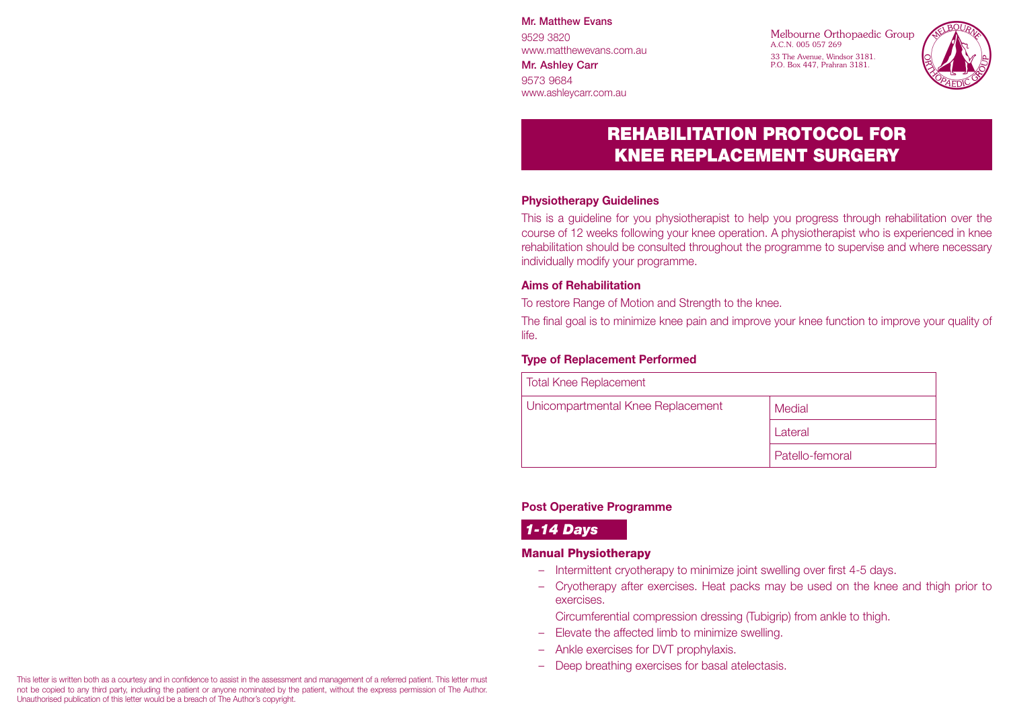Mr. Matthew Evans

9529 3820 www.matthewevans.com.au

Mr. Ashley Carr 9573 9684 www.ashleycarr.com.au Melbourne Orthopaedic Group A.C.N. 005 057 269 33 The Avenue, Windsor 3181. P.O. Box 447, Prahran 3181.



# REHABILITATION PROTOCOL FOR KNEE REPLACEMENT SURGERY

#### **Physiotherapy Guidelines**

This is a guideline for you physiotherapist to help you progress through rehabilitation over the course of 12 weeks following your knee operation. A physiotherapist who is experienced in knee rehabilitation should be consulted throughout the programme to supervise and where necessary individually modify your programme.

#### **Aims of Rehabilitation**

To restore Range of Motion and Strength to the knee.

The final goal is to minimize knee pain and improve your knee function to improve your quality of life.

#### **Type of Replacement Performed**

| <b>Total Knee Replacement</b>     |                 |
|-----------------------------------|-----------------|
| Unicompartmental Knee Replacement | Medial          |
|                                   | Lateral         |
|                                   | Patello-femoral |

#### **Post Operative Programme**

## *1-14 Days*

#### Manual Physiotherapy

- Intermittent cryotherapy to minimize joint swelling over first 4-5 days.
- Cryotherapy after exercises. Heat packs may be used on the knee and thigh prior to exercises.
	- Circumferential compression dressing (Tubigrip) from ankle to thigh.
- Elevate the affected limb to minimize swelling.
- Ankle exercises for DVT prophylaxis.
- Deep breathing exercises for basal atelectasis.

This letter is written both as a courtesy and in confidence to assist in the assessment and management of a referred patient. This letter must not be copied to any third party, including the patient or anyone nominated by the patient, without the express permission of The Author. Unauthorised publication of this letter would be a breach of The Author's copyright.